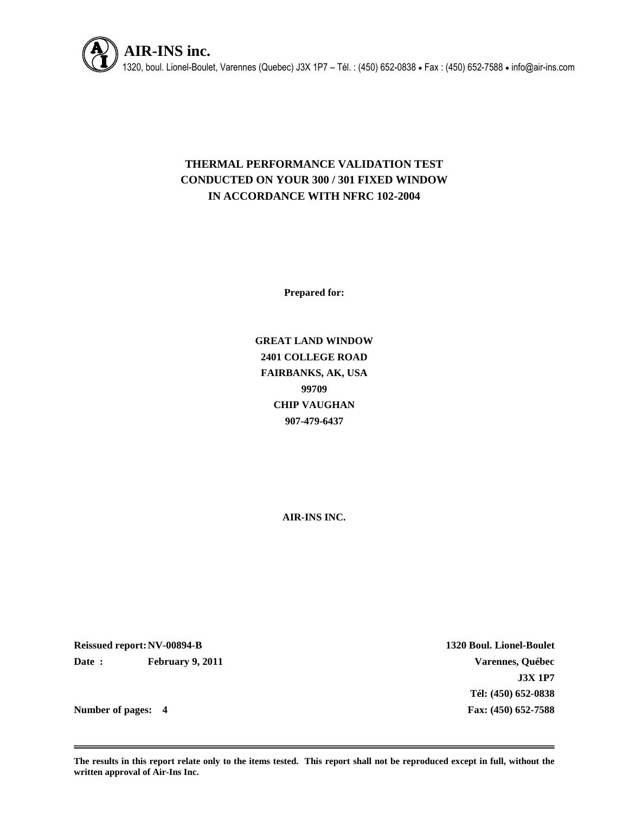

# **THERMAL PERFORMANCE VALIDATION TEST CONDUCTED ON YOUR 300 / 301 FIXED WINDOW IN ACCORDANCE WITH NFRC 102-2004**

**Prepared for:**

**GREAT LAND WINDOW 2401 COLLEGE ROAD FAIRBANKS, AK, USA 99709 CHIP VAUGHAN 907-479-6437**

**AIR-INS INC.**

**Reissued report:NV-00894-B 1320 Boul. Lionel-Boulet Date : February 9, 2011 Varennes, Québec**

**J3X 1P7 Tél: (450) 652-0838 Number of pages: 4 Fax: (450) 652-7588**

**The results in this report relate only to the items tested. This report shall not be reproduced except in full, without the written approval of Air-Ins Inc.**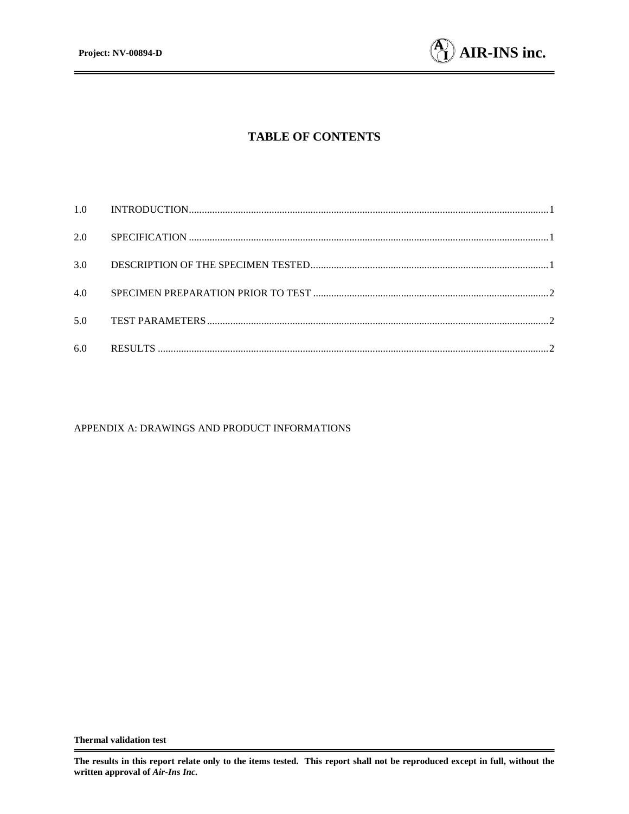

# **TABLE OF CONTENTS**

| 2.0 |  |
|-----|--|
| 3.0 |  |
| 4.0 |  |
| 5.0 |  |
| 6.0 |  |

#### APPENDIX A: DRAWINGS AND PRODUCT INFORMATIONS

**The results in this report relate only to the items tested. This report shall not be reproduced except in full, without the written approval of** *Air-Ins Inc.*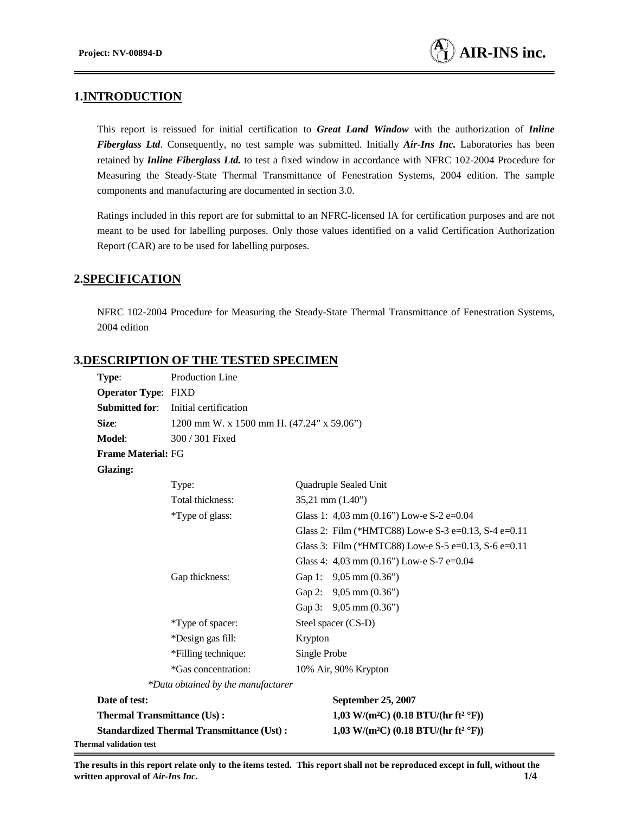## **1.INTRODUCTION**

This report is reissued for initial certification to *Great Land Window* with the authorization of *Inline Fiberglass Ltd*. Consequently, no test sample was submitted. Initially *Air-Ins Inc.* Laboratories has been retained by *Inline Fiberglass Ltd.* to test a fixed window in accordance with NFRC 102-2004 Procedure for Measuring the Steady-State Thermal Transmittance of Fenestration Systems, 2004 edition. The sample components and manufacturing are documented in section 3.0.

Ratings included in this report are for submittal to an NFRC-licensed IA for certification purposes and are not meant to be used for labelling purposes. Only those values identified on a valid Certification Authorization Report (CAR) are to be used for labelling purposes.

#### **2.SPECIFICATION**

NFRC 102-2004 Procedure for Measuring the Steady-State Thermal Transmittance of Fenestration Systems, 2004 edition

## **3.DESCRIPTION OF THE TESTED SPECIMEN**

| Type:                              | Production Line                                  |                     |                                                              |
|------------------------------------|--------------------------------------------------|---------------------|--------------------------------------------------------------|
| <b>Operator Type: FIXD</b>         |                                                  |                     |                                                              |
| <b>Submitted for:</b>              | Initial certification                            |                     |                                                              |
| Size:                              | 1200 mm W. x 1500 mm H. (47.24" x 59.06")        |                     |                                                              |
| Model:                             | 300 / 301 Fixed                                  |                     |                                                              |
| <b>Frame Material: FG</b>          |                                                  |                     |                                                              |
| <b>Glazing:</b>                    |                                                  |                     |                                                              |
|                                    | Type:                                            |                     | Quadruple Sealed Unit                                        |
|                                    | Total thickness:                                 |                     | $35,21$ mm $(1.40)$                                          |
|                                    | *Type of glass:                                  |                     | Glass 1: 4,03 mm (0.16") Low-e S-2 e=0.04                    |
|                                    |                                                  |                     | Glass 2: Film (*HMTC88) Low-e S-3 e=0.13, S-4 e=0.11         |
|                                    |                                                  |                     | Glass 3: Film (*HMTC88) Low-e S-5 e=0.13, S-6 e=0.11         |
|                                    |                                                  |                     | Glass 4: 4,03 mm (0.16") Low-e S-7 e=0.04                    |
|                                    | Gap thickness:                                   |                     | Gap 1: 9,05 mm (0.36")                                       |
|                                    |                                                  |                     | Gap 2: 9,05 mm (0.36")                                       |
|                                    |                                                  |                     | Gap 3: 9,05 mm (0.36")                                       |
|                                    | *Type of spacer:                                 | Steel spacer (CS-D) |                                                              |
|                                    | *Design gas fill:                                | Krypton             |                                                              |
|                                    | *Filling technique:                              | Single Probe        |                                                              |
|                                    | *Gas concentration:                              |                     | 10% Air, 90% Krypton                                         |
|                                    | *Data obtained by the manufacturer               |                     |                                                              |
| Date of test:                      |                                                  |                     | September 25, 2007                                           |
| <b>Thermal Transmittance (Us):</b> |                                                  |                     | 1,03 W/(m <sup>2</sup> C) (0.18 BTU/(hr ft <sup>2</sup> °F)) |
|                                    | <b>Standardized Thermal Transmittance (Ust):</b> |                     | 1,03 W/(m <sup>2</sup> C) (0.18 BTU/(hr ft <sup>2</sup> °F)) |
| Thermal validation test            |                                                  |                     |                                                              |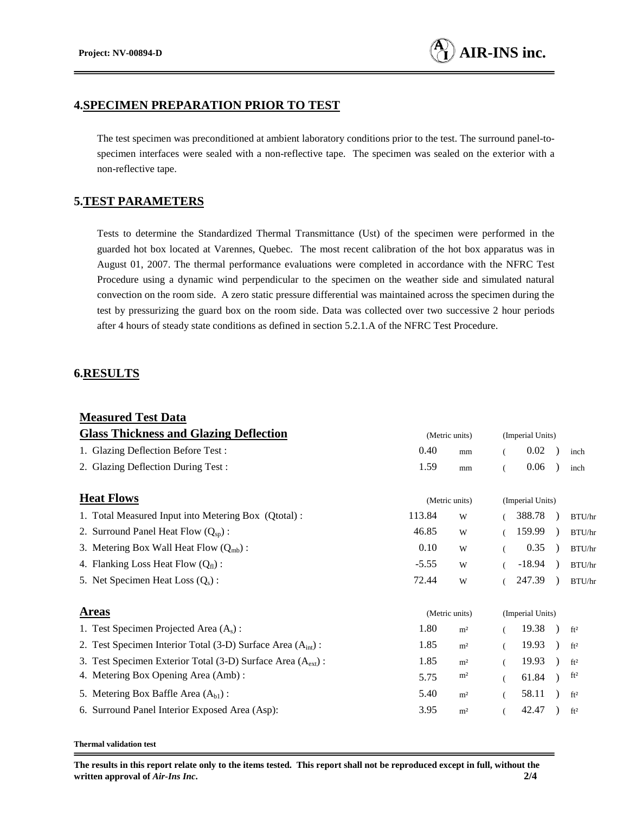#### **4.SPECIMEN PREPARATION PRIOR TO TEST**

The test specimen was preconditioned at ambient laboratory conditions prior to the test. The surround panel-tospecimen interfaces were sealed with a non-reflective tape. The specimen was sealed on the exterior with a non-reflective tape.

## **5.TEST PARAMETERS**

Tests to determine the Standardized Thermal Transmittance (Ust) of the specimen were performed in the guarded hot box located at Varennes, Quebec. The most recent calibration of the hot box apparatus was in August 01, 2007. The thermal performance evaluations were completed in accordance with the NFRC Test Procedure using a dynamic wind perpendicular to the specimen on the weather side and simulated natural convection on the room side. A zero static pressure differential was maintained across the specimen during the test by pressurizing the guard box on the room side. Data was collected over two successive 2 hour periods after 4 hours of steady state conditions as defined in section 5.2.1.A of the NFRC Test Procedure.

## **6.RESULTS**

| <b>Measured Test Data</b>                                                |                |                |                  |                  |  |                 |  |
|--------------------------------------------------------------------------|----------------|----------------|------------------|------------------|--|-----------------|--|
| <b>Glass Thickness and Glazing Deflection</b>                            | (Metric units) |                |                  | (Imperial Units) |  |                 |  |
| 1. Glazing Deflection Before Test:                                       | 0.40           | mm             | (                | 0.02             |  | inch            |  |
| 2. Glazing Deflection During Test:                                       | 1.59           | mm             | $\overline{(}$   | 0.06             |  | inch            |  |
| <b>Heat Flows</b>                                                        | (Metric units) |                | (Imperial Units) |                  |  |                 |  |
| 1. Total Measured Input into Metering Box (Qtotal):                      | 113.84         | W              |                  | 388.78           |  | BTU/hr          |  |
| 2. Surround Panel Heat Flow $(Q_{sp})$ :                                 | 46.85          | W              |                  | 159.99           |  | BTU/hr          |  |
| 3. Metering Box Wall Heat Flow $(Q_{mb})$ :                              | 0.10           | W              |                  | 0.35             |  | BTU/hr          |  |
| 4. Flanking Loss Heat Flow $(Q_f)$ :                                     | $-5.55$        | W              |                  | $-18.94$         |  | BTU/hr          |  |
| 5. Net Specimen Heat Loss $(Q_s)$ :                                      | 72.44          | W              |                  | 247.39           |  | BTU/hr          |  |
| <b>Areas</b>                                                             | (Metric units) |                |                  | (Imperial Units) |  |                 |  |
| 1. Test Specimen Projected Area $(A_s)$ :                                | 1.80           | m <sup>2</sup> |                  | 19.38            |  | ft <sup>2</sup> |  |
| 2. Test Specimen Interior Total (3-D) Surface Area $(Aint)$ :            | 1.85           | m <sup>2</sup> |                  | 19.93            |  | ft <sup>2</sup> |  |
| 3. Test Specimen Exterior Total (3-D) Surface Area (A <sub>ext</sub> ) : | 1.85           | m <sup>2</sup> |                  | 19.93            |  | ft <sup>2</sup> |  |
| 4. Metering Box Opening Area (Amb):                                      | 5.75           | m <sup>2</sup> |                  | 61.84            |  | ft <sup>2</sup> |  |
| 5. Metering Box Baffle Area $(Abl)$ :                                    | 5.40           | m <sup>2</sup> |                  | 58.11            |  | ft <sup>2</sup> |  |
| 6. Surround Panel Interior Exposed Area (Asp):                           | 3.95           | m <sup>2</sup> |                  | 42.47            |  | ft <sup>2</sup> |  |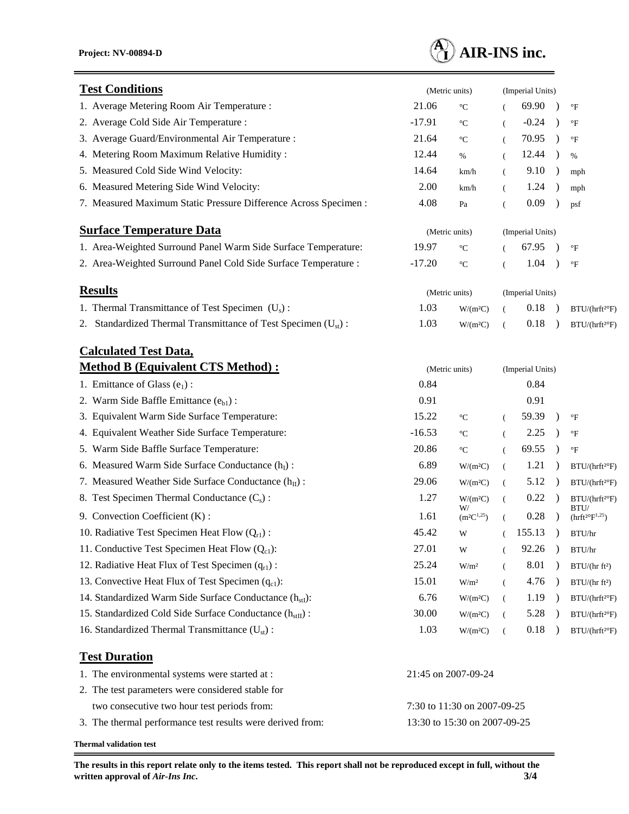

| <b>Test Conditions</b>                                                     | (Metric units)               |                            |                      | (Imperial Units) |                  |                                                  |  |  |
|----------------------------------------------------------------------------|------------------------------|----------------------------|----------------------|------------------|------------------|--------------------------------------------------|--|--|
| 1. Average Metering Room Air Temperature :                                 | 21.06                        | $\rm ^{\circ}C$            |                      | 69.90            |                  | $\mathrm{^{\circ}F}$                             |  |  |
| 2. Average Cold Side Air Temperature :                                     | $-17.91$                     | $\rm ^{\circ}C$            | €                    | $-0.24$          | $\lambda$        | $\rm ^{\circ}F$                                  |  |  |
| 3. Average Guard/Environmental Air Temperature :                           | 21.64                        | $\rm ^{\circ}C$            | $\overline{(\ }$     | 70.95            |                  | $\mathrm{^{\circ}F}$                             |  |  |
| 4. Metering Room Maximum Relative Humidity:                                | 12.44                        | %                          | $\left($             | 12.44            | $\lambda$        | %                                                |  |  |
| 5. Measured Cold Side Wind Velocity:                                       | 14.64                        | km/h                       | $\left($             | 9.10             | $\rightarrow$    | mph                                              |  |  |
| 6. Measured Metering Side Wind Velocity:                                   | 2.00                         | km/h                       | $\left($             | 1.24             |                  | mph                                              |  |  |
| 7. Measured Maximum Static Pressure Difference Across Specimen :           | 4.08                         | Pa                         | $\overline{(\ }$     | 0.09             |                  | psf                                              |  |  |
| <b>Surface Temperature Data</b>                                            |                              | (Metric units)             |                      |                  | (Imperial Units) |                                                  |  |  |
| 1. Area-Weighted Surround Panel Warm Side Surface Temperature:             | 19.97                        | $\rm ^{\circ}C$            |                      | 67.95            |                  | $\mathrm{^{\circ}F}$                             |  |  |
| 2. Area-Weighted Surround Panel Cold Side Surface Temperature :            | $-17.20$                     | $\rm ^{\circ}C$            | $\overline{(\cdot)}$ | 1.04             |                  | $\rm ^{\circ}F$                                  |  |  |
| <b>Results</b>                                                             |                              | (Metric units)             |                      |                  | (Imperial Units) |                                                  |  |  |
| 1. Thermal Transmittance of Test Specimen $(U_s)$ :                        | 1.03                         | W/(m <sup>2</sup> C)       | €                    | 0.18             |                  | BTU/(hrft <sup>2</sup> °F)                       |  |  |
| 2. Standardized Thermal Transmittance of Test Specimen (U <sub>st</sub> ): | 1.03                         | W/(m <sup>2</sup> C)       | $\left($             | 0.18             |                  | BTU/(hrft <sup>2</sup> °F)                       |  |  |
| <b>Calculated Test Data,</b>                                               |                              |                            |                      |                  |                  |                                                  |  |  |
| <b>Method B (Equivalent CTS Method):</b>                                   |                              | (Metric units)             |                      |                  | (Imperial Units) |                                                  |  |  |
| 1. Emittance of Glass $(e_1)$ :                                            | 0.84                         |                            |                      | 0.84             |                  |                                                  |  |  |
| 2. Warm Side Baffle Emittance (eb1):                                       | 0.91                         |                            |                      | 0.91             |                  |                                                  |  |  |
| 3. Equivalent Warm Side Surface Temperature:                               | 15.22                        | $\rm ^{\circ}C$            | $\left($             | 59.39            | $\lambda$        | $\mathrm{^{\circ}F}$                             |  |  |
| 4. Equivalent Weather Side Surface Temperature:                            | $-16.53$                     | $\rm ^{\circ}C$            | $\left($             | 2.25             |                  | $\rm ^{\circ}F$                                  |  |  |
| 5. Warm Side Baffle Surface Temperature:                                   | 20.86                        | $^{\circ} \text{C}$        | $\overline{(\ }$     | 69.55            | $\lambda$        | $^{\circ} \mathrm{F}$                            |  |  |
| 6. Measured Warm Side Surface Conductance $(hI)$ :                         | 6.89                         | W/(m <sup>2</sup> C)       | $\left($             | 1.21             | $\rightarrow$    | BTU/(hrft <sup>2</sup> °F)                       |  |  |
| 7. Measured Weather Side Surface Conductance $(h_{II})$ :                  | 29.06                        | W/(m <sup>2</sup> C)       | €                    | 5.12             |                  | BTU / (hrft <sup>2</sup> F)                      |  |  |
| 8. Test Specimen Thermal Conductance $(C_s)$ :                             | 1.27                         | W/(m <sup>2</sup> C)<br>W/ | $\left($             | 0.22             | $\rightarrow$    | $\mathrm{BTU}/(\mathrm{hrft^{2\circ}F})$<br>BTU/ |  |  |
| 9. Convection Coefficient (K):                                             | 1.61                         | $(m^2C^{1,25})$            | $\overline{(\cdot)}$ | 0.28             |                  | $(hrft^{2\circ}F^{1,25})$                        |  |  |
| 10. Radiative Test Specimen Heat Flow $(Q_{r1})$ :                         | 45.42                        | W                          |                      | 155.13           |                  | BTU/hr                                           |  |  |
| 11. Conductive Test Specimen Heat Flow $(Q_{c1})$ :                        | 27.01                        | W                          |                      | 92.26            |                  | BTU/hr                                           |  |  |
| 12. Radiative Heat Flux of Test Specimen $(q_{r1})$ :                      | 25.24                        | W/m <sup>2</sup>           | $\left($             | 8.01             |                  | BTU/(hr ft <sup>2</sup> )                        |  |  |
| 13. Convective Heat Flux of Test Specimen $(q_{c1})$ :                     | 15.01                        | W/m <sup>2</sup>           | $\overline{(\ }$     | 4.76             |                  | BTU/(hrft <sup>2</sup> )                         |  |  |
| 14. Standardized Warm Side Surface Conductance $(h_{st})$ :                | 6.76                         | W/(m <sup>2</sup> C)       | $\left($             | 1.19             |                  | BTU/(hrft <sup>2o</sup> F)                       |  |  |
| 15. Standardized Cold Side Surface Conductance (h <sub>stII</sub> ) :      | 30.00                        | W/(m <sup>2</sup> C)       | (                    | 5.28             |                  | BTU/(hrft <sup>2o</sup> F)                       |  |  |
| 16. Standardized Thermal Transmittance $(U_{st})$ :                        | 1.03                         | W/(m <sup>2</sup> C)       | $\overline{(}$       | $0.18\,$         |                  | BTU/(hrft <sup>2</sup> °F)                       |  |  |
| <b>Test Duration</b>                                                       |                              |                            |                      |                  |                  |                                                  |  |  |
| 1. The environmental systems were started at :                             |                              | 21:45 on 2007-09-24        |                      |                  |                  |                                                  |  |  |
| 2. The test parameters were considered stable for                          |                              |                            |                      |                  |                  |                                                  |  |  |
| two consecutive two hour test periods from:                                | 7:30 to 11:30 on 2007-09-25  |                            |                      |                  |                  |                                                  |  |  |
| 3. The thermal performance test results were derived from:                 | 13:30 to 15:30 on 2007-09-25 |                            |                      |                  |                  |                                                  |  |  |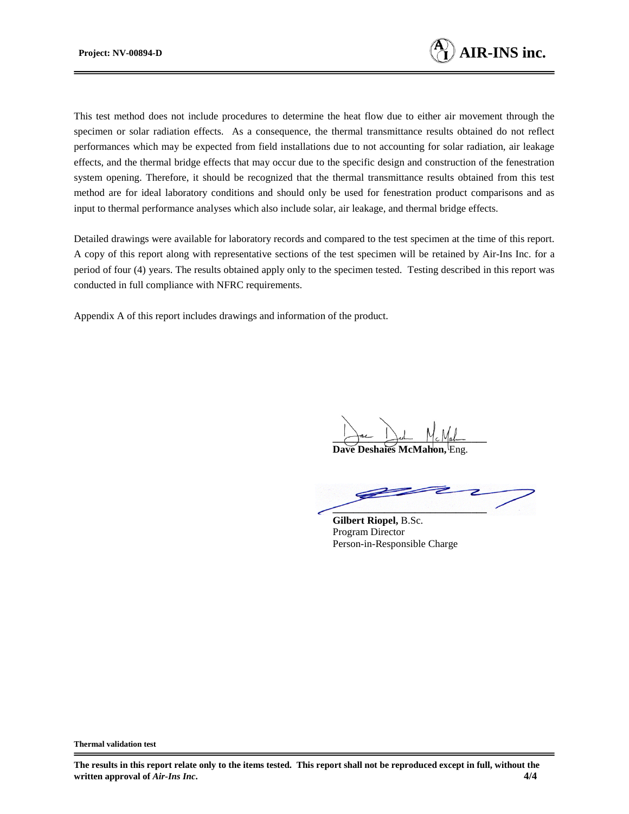

This test method does not include procedures to determine the heat flow due to either air movement through the specimen or solar radiation effects. As a consequence, the thermal transmittance results obtained do not reflect performances which may be expected from field installations due to not accounting for solar radiation, air leakage effects, and the thermal bridge effects that may occur due to the specific design and construction of the fenestration system opening. Therefore, it should be recognized that the thermal transmittance results obtained from this test method are for ideal laboratory conditions and should only be used for fenestration product comparisons and as input to thermal performance analyses which also include solar, air leakage, and thermal bridge effects.

Detailed drawings were available for laboratory records and compared to the test specimen at the time of this report. A copy of this report along with representative sections of the test specimen will be retained by Air-Ins Inc. for a period of four (4) years. The results obtained apply only to the specimen tested. Testing described in this report was conducted in full compliance with NFRC requirements.

Appendix A of this report includes drawings and information of the product.

Jac Jest Mc Mah

**Dave Deshaies McMahon,** Eng.

**\_\_\_\_\_\_\_\_\_\_\_\_\_\_\_\_\_\_\_\_\_\_\_\_\_\_\_\_\_\_**

**Gilbert Riopel,** B.Sc. Program Director Person-in-Responsible Charge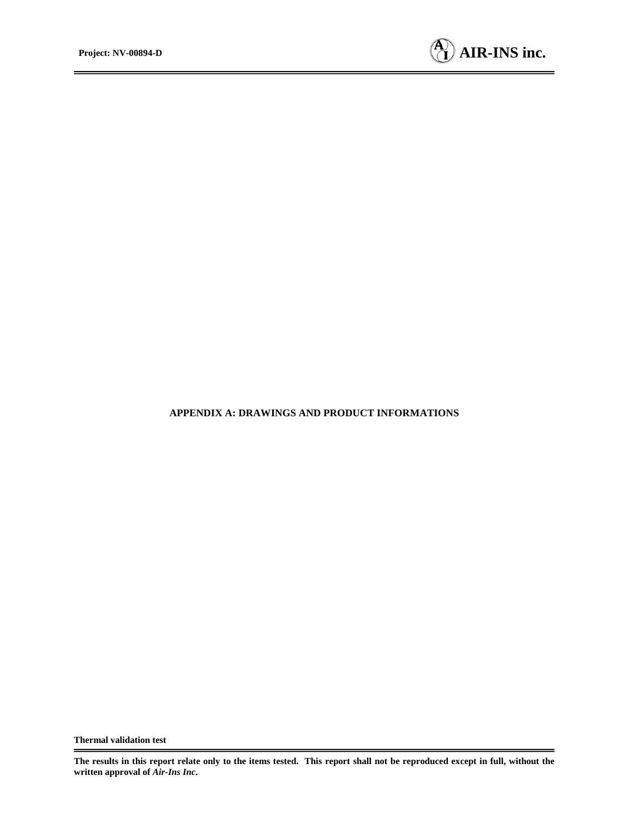

#### **APPENDIX A: DRAWINGS AND PRODUCT INFORMATIONS**

**The results in this report relate only to the items tested. This report shall not be reproduced except in full, without the written approval of** *Air-Ins Inc***.**